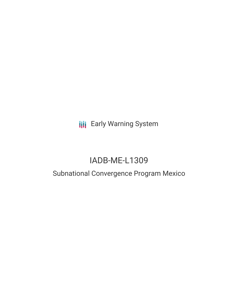**III** Early Warning System

# IADB-ME-L1309

## Subnational Convergence Program Mexico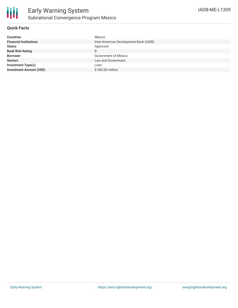

### **Quick Facts**

| <b>Countries</b>               | Mexico                                 |
|--------------------------------|----------------------------------------|
| <b>Financial Institutions</b>  | Inter-American Development Bank (IADB) |
| <b>Status</b>                  | Approved                               |
| <b>Bank Risk Rating</b>        | B                                      |
| <b>Borrower</b>                | <b>Government of Mexico</b>            |
| <b>Sectors</b>                 | Law and Government                     |
| <b>Investment Type(s)</b>      | Loan                                   |
| <b>Investment Amount (USD)</b> | \$500,00 million                       |
|                                |                                        |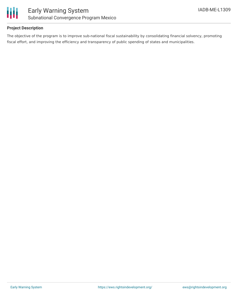

### **Project Description**

The objective of the program is to improve sub-national fiscal sustainability by consolidating financial solvency, promoting fiscal effort, and improving the efficiency and transparency of public spending of states and municipalities.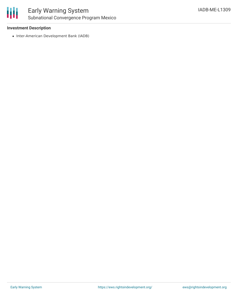

### Early Warning System Subnational Convergence Program Mexico

### **Investment Description**

• Inter-American Development Bank (IADB)